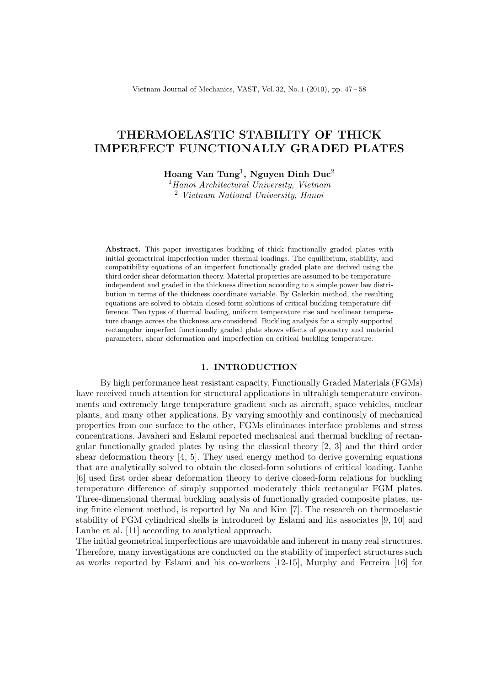Vietnam Journal of Mechanics, VAST, Vol. 32, No. 1 (2010), pp. 47 – 58

# THERMOELASTIC STABILITY OF THICK IMPERFECT FUNCTIONALLY GRADED PLATES

Hoang Van Tung<sup>1</sup>, Nguyen Dinh Duc<sup>2</sup>

 $<sup>1</sup> Hanoi Architectureal University, Vietnam$ </sup> <sup>2</sup> Vietnam National University, Hanoi

Abstract. This paper investigates buckling of thick functionally graded plates with initial geometrical imperfection under thermal loadings. The equilibrium, stability, and compatibility equations of an imperfect functionally graded plate are derived using the third order shear deformation theory. Material properties are assumed to be temperatureindependent and graded in the thickness direction according to a simple power law distribution in terms of the thickness coordinate variable. By Galerkin method, the resulting equations are solved to obtain closed-form solutions of critical buckling temperature difference. Two types of thermal loading, uniform temperature rise and nonlinear temperature change across the thickness are considered. Buckling analysis for a simply supported rectangular imperfect functionally graded plate shows effects of geometry and material parameters, shear deformation and imperfection on critical buckling temperature.

### 1. INTRODUCTION

By high performance heat resistant capacity, Functionally Graded Materials (FGMs) have received much attention for structural applications in ultrahigh temperature environments and extremely large temperature gradient such as aircraft, space vehicles, nuclear plants, and many other applications. By varying smoothly and continously of mechanical properties from one surface to the other, FGMs eliminates interface problems and stress concentrations. Javaheri and Eslami reported mechanical and thermal buckling of rectangular functionally graded plates by using the classical theory [2, 3] and the third order shear deformation theory  $[4, 5]$ . They used energy method to derive governing equations that are analytically solved to obtain the closed-form solutions of critical loading. Lanhe [6] used first order shear deformation theory to derive closed-form relations for buckling temperature difference of simply supported moderately thick rectangular FGM plates. Three-dimensional thermal buckling analysis of functionally graded composite plates, using finite element method, is reported by Na and Kim [7]. The research on thermoelastic stability of FGM cylindrical shells is introduced by Eslami and his associates [9, 10] and Lanhe et al. [11] according to analytical approach.

The initial geometrical imperfections are unavoidable and inherent in many real structures. Therefore, many investigations are conducted on the stability of imperfect structures such as works reported by Eslami and his co-workers [12-15], Murphy and Ferreira [16] for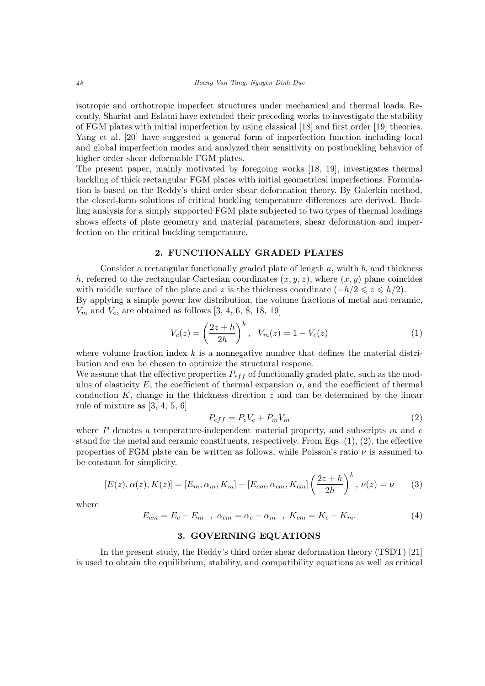isotropic and orthotropic imperfect structures under mechanical and thermal loads. Recently, Shariat and Eslami have extended their preceding works to investigate the stability of FGM plates with initial imperfection by using classical [18] and first order [19] theories. Yang et al. [20] have suggested a general form of imperfection function including local and global imperfection modes and analyzed their sensitivity on postbuckling behavior of higher order shear deformable FGM plates.

The present paper, mainly motivated by foregoing works [18, 19], investigates thermal buckling of thick rectangular FGM plates with initial geometrical imperfections. Formulation is based on the Reddy's third order shear deformation theory. By Galerkin method, the closed-form solutions of critical buckling temperature differences are derived. Buckling analysis for a simply supported FGM plate subjected to two types of thermal loadings shows effects of plate geometry and material parameters, shear deformation and imperfection on the critical buckling temperature.

# 2. FUNCTIONALLY GRADED PLATES

Consider a rectangular functionally graded plate of length a, width b, and thickness h, referred to the rectangular Cartesian coordinates  $(x, y, z)$ , where  $(x, y)$  plane coincides with middle surface of the plate and z is the thickness coordinate  $(-h/2 \leq z \leq h/2)$ . By applying a simple power law distribution, the volume fractions of metal and ceramic,  $V_m$  and  $V_c$ , are obtained as follows [3, 4, 6, 8, 18, 19]

$$
V_c(z) = \left(\frac{2z + h}{2h}\right)^k, \quad V_m(z) = 1 - V_c(z)
$$
 (1)

where volume fraction index  $k$  is a nonnegative number that defines the material distribution and can be chosen to optimize the structural respone.

We assume that the effective properties  $P_{eff}$  of functionally graded plate, such as the modulus of elasticity E, the coefficient of thermal expansion  $\alpha$ , and the coefficient of thermal conduction  $K$ , change in the thickness direction  $z$  and can be determined by the linear rule of mixture as [3, 4, 5, 6]

$$
P_{eff} = P_c V_c + P_m V_m \tag{2}
$$

where  $P$  denotes a temperature-independent material property, and subscripts  $m$  and  $c$ stand for the metal and ceramic constituents, respectively. From Eqs.  $(1), (2)$ , the effective properties of FGM plate can be written as follows, while Poisson's ratio  $\nu$  is assumed to be constant for simplicity.

$$
[E(z), \alpha(z), K(z)] = [E_m, \alpha_m, K_m] + [E_{cm}, \alpha_{cm}, K_{cm}] \left(\frac{2z + h}{2h}\right)^k, \nu(z) = \nu
$$
 (3)

where

$$
E_{cm} = E_c - E_m \quad , \quad \alpha_{cm} = \alpha_c - \alpha_m \quad , \quad K_{cm} = K_c - K_m. \tag{4}
$$

## 3. GOVERNING EQUATIONS

In the present study, the Reddy's third order shear deformation theory (TSDT) [21] is used to obtain the equilibrium, stability, and compatibility equations as well as critical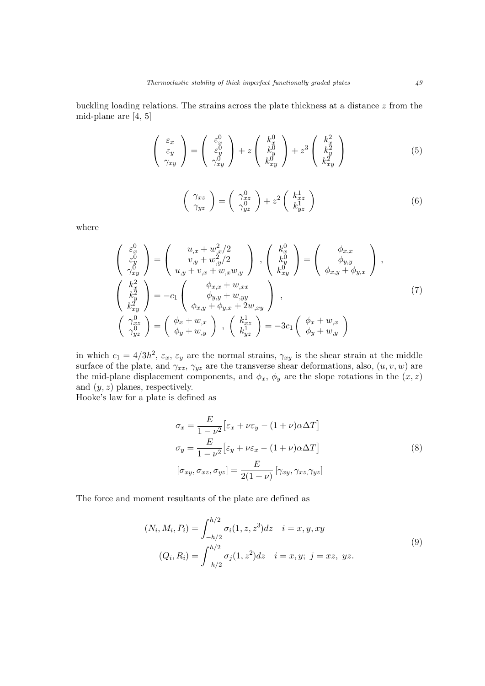buckling loading relations. The strains across the plate thickness at a distance z from the mid-plane are [4, 5]

$$
\begin{pmatrix} \varepsilon_x \\ \varepsilon_y \\ \gamma_{xy} \end{pmatrix} = \begin{pmatrix} \varepsilon_x^0 \\ \varepsilon_y^0 \\ \gamma_{xy}^0 \end{pmatrix} + z \begin{pmatrix} k_x^0 \\ k_y^0 \\ k_{xy}^0 \end{pmatrix} + z^3 \begin{pmatrix} k_x^2 \\ k_y^2 \\ k_{xy}^2 \end{pmatrix}
$$
 (5)

$$
\begin{pmatrix} \gamma_{xz} \\ \gamma_{yz} \end{pmatrix} = \begin{pmatrix} \gamma_{xz}^0 \\ \gamma_{yz}^0 \end{pmatrix} + z^2 \begin{pmatrix} k_{xz}^1 \\ k_{yz}^1 \end{pmatrix}
$$
 (6)

where

$$
\begin{pmatrix}\n\varepsilon_x^0 \\
\varepsilon_y^0 \\
\gamma_{xy}^0\n\end{pmatrix} = \begin{pmatrix}\nu_{,x} + w_{,x}^2/2 \\
v_{,y} + w_{,y}^2/2 \\
u_{,y} + v_{,x} + w_{,x}w_{,y}\n\end{pmatrix}, \begin{pmatrix}\nk_x^0 \\
k_y^0 \\
k_{xy}^0\n\end{pmatrix} = \begin{pmatrix}\n\phi_{x,x} \\
\phi_{y,y} \\
\phi_{x,y} + \phi_{y,x}\n\end{pmatrix},
$$
\n
$$
\begin{pmatrix}\n\kappa_x^2 \\
k_y^2 \\
k_{xy}^2\n\end{pmatrix} = -c_1 \begin{pmatrix}\n\phi_{x,x} + w_{,xx} \\
\phi_{y,y} + w_{,yy} \\
\phi_{x,y} + \phi_{y,x} + 2w_{,xy}\n\end{pmatrix},
$$
\n
$$
\begin{pmatrix}\n\gamma_{x}^0 \\
\gamma_{y}^0 \\
\gamma_{yz}^0\n\end{pmatrix} = \begin{pmatrix}\n\phi_x + w_{,x} \\
\phi_y + w_{,y}\n\end{pmatrix}, \begin{pmatrix}\nk_{x}^1 \\
k_{y}^1 \\
k_{y}^1\n\end{pmatrix} = -3c_1 \begin{pmatrix}\n\phi_x + w_{,x} \\
\phi_y + w_{,y}\n\end{pmatrix}
$$
\n(7)

in which  $c_1 = 4/3h^2$ ,  $\varepsilon_x$ ,  $\varepsilon_y$  are the normal strains,  $\gamma_{xy}$  is the shear strain at the middle surface of the plate, and  $\gamma_{xz}, \gamma_{yz}$  are the transverse shear deformations, also,  $(u, v, w)$  are the mid-plane displacement components, and  $\phi_x$ ,  $\phi_y$  are the slope rotations in the  $(x, z)$ and  $(y, z)$  planes, respectively.

Hooke's law for a plate is defined as

$$
\sigma_x = \frac{E}{1 - \nu^2} \left[ \varepsilon_x + \nu \varepsilon_y - (1 + \nu) \alpha \Delta T \right]
$$
  
\n
$$
\sigma_y = \frac{E}{1 - \nu^2} \left[ \varepsilon_y + \nu \varepsilon_x - (1 + \nu) \alpha \Delta T \right]
$$
  
\n
$$
[\sigma_{xy}, \sigma_{xz}, \sigma_{yz}] = \frac{E}{2(1 + \nu)} \left[ \gamma_{xy}, \gamma_{xz}, \gamma_{yz} \right]
$$
 (8)

The force and moment resultants of the plate are defined as

$$
(N_i, M_i, P_i) = \int_{-h/2}^{h/2} \sigma_i(1, z, z^3) dz \quad i = x, y, xy
$$
  

$$
(Q_i, R_i) = \int_{-h/2}^{h/2} \sigma_j(1, z^2) dz \quad i = x, y; \ j = xz, yz.
$$
 (9)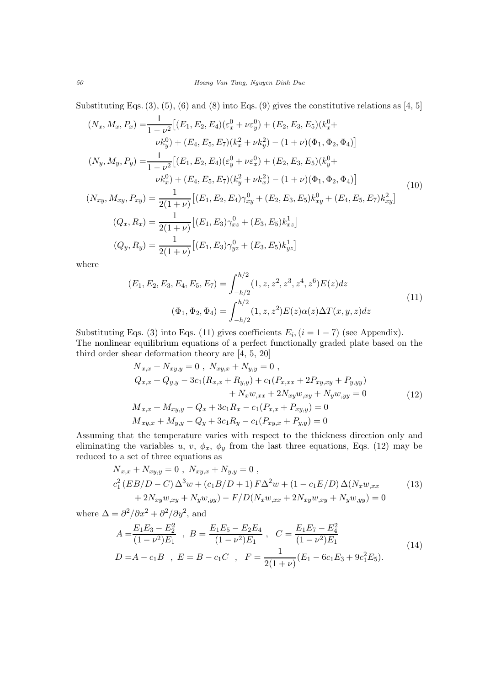Substituting Eqs.  $(3)$ ,  $(5)$ ,  $(6)$  and  $(8)$  into Eqs.  $(9)$  gives the constitutive relations as  $[4, 5]$ 

$$
(N_x, M_x, P_x) = \frac{1}{1 - \nu^2} \left[ (E_1, E_2, E_4)(\varepsilon_x^0 + \nu \varepsilon_y^0) + (E_2, E_3, E_5)(k_x^0 + \nu k_y^0) + (E_4, E_5, E_7)(k_x^2 + \nu k_y^2) - (1 + \nu)(\Phi_1, \Phi_2, \Phi_4) \right]
$$
  
\n
$$
(N_y, M_y, P_y) = \frac{1}{1 - \nu^2} \left[ (E_1, E_2, E_4)(\varepsilon_y^0 + \nu \varepsilon_x^0) + (E_2, E_3, E_5)(k_y^0 + \nu k_x^0) + (E_4, E_5, E_7)(k_y^2 + \nu k_x^2) - (1 + \nu)(\Phi_1, \Phi_2, \Phi_4) \right]
$$
  
\n
$$
(N_{xy}, M_{xy}, P_{xy}) = \frac{1}{2(1 + \nu)} \left[ (E_1, E_2, E_4) \gamma_{xy}^0 + (E_2, E_3, E_5) k_{xy}^0 + (E_4, E_5, E_7) k_{xy}^2 \right]
$$
  
\n
$$
(Q_x, R_x) = \frac{1}{2(1 + \nu)} \left[ (E_1, E_3) \gamma_{xz}^0 + (E_3, E_5) k_{xz}^1 \right]
$$
  
\n
$$
(Q_y, R_y) = \frac{1}{2(1 + \nu)} \left[ (E_1, E_3) \gamma_{yz}^0 + (E_3, E_5) k_{yz}^1 \right]
$$
  
\n(10)

where

$$
(E_1, E_2, E_3, E_4, E_5, E_7) = \int_{-h/2}^{h/2} (1, z, z^2, z^3, z^4, z^6) E(z) dz
$$
  

$$
(\Phi_1, \Phi_2, \Phi_4) = \int_{-h/2}^{h/2} (1, z, z^2) E(z) \alpha(z) \Delta T(x, y, z) dz
$$
 (11)

Substituting Eqs. (3) into Eqs. (11) gives coefficients  $E_i$ ,  $(i = 1 - 7)$  (see Appendix). The nonlinear equilibrium equations of a perfect functionally graded plate based on the third order shear deformation theory are [4, 5, 20]

$$
N_{x,x} + N_{xy,y} = 0, N_{xy,x} + N_{y,y} = 0,
$$
  
\n
$$
Q_{x,x} + Q_{y,y} - 3c_1(R_{x,x} + R_{y,y}) + c_1(P_{x,xx} + 2P_{xy,xy} + P_{y,yy})
$$
  
\n
$$
+ N_x w_{,xx} + 2N_{xy} w_{,xy} + N_y w_{,yy} = 0
$$
  
\n
$$
M_{x,x} + M_{xy,y} - Q_x + 3c_1 R_x - c_1(P_{x,x} + P_{xy,y}) = 0
$$
  
\n
$$
M_{xy,x} + M_{y,y} - Q_y + 3c_1 R_y - c_1(P_{xy,x} + P_{y,y}) = 0
$$
\n(12)

Assuming that the temperature varies with respect to the thickness direction only and eliminating the variables u, v,  $\phi_x$ ,  $\phi_y$  from the last three equations, Eqs. (12) may be reduced to a set of three equations as

$$
N_{x,x} + N_{xy,y} = 0, N_{xy,x} + N_{y,y} = 0,
$$
  
\n
$$
c_1^2 (EB/D - C) \Delta^3 w + (c_1 B/D + 1) F \Delta^2 w + (1 - c_1 E/D) \Delta(N_x w_{,xx} + 2N_{xy} w_{,xy} + N_y w_{,yy}) = 0
$$
\n(13)

where  $\Delta = \frac{\partial^2}{\partial x^2} + \frac{\partial^2}{\partial y^2}$ , and

$$
A = \frac{E_1 E_3 - E_2^2}{(1 - \nu^2) E_1}, \quad B = \frac{E_1 E_5 - E_2 E_4}{(1 - \nu^2) E_1}, \quad C = \frac{E_1 E_7 - E_4^2}{(1 - \nu^2) E_1}
$$
  
\n
$$
D = A - c_1 B, \quad E = B - c_1 C, \quad F = \frac{1}{2(1 + \nu)} (E_1 - 6c_1 E_3 + 9c_1^2 E_5).
$$
\n(14)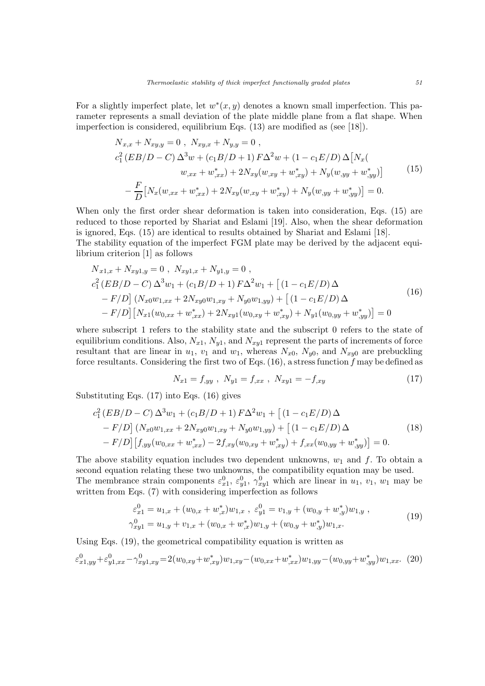For a slightly imperfect plate, let  $w^*(x, y)$  denotes a known small imperfection. This parameter represents a small deviation of the plate middle plane from a flat shape. When imperfection is considered, equilibrium Eqs. (13) are modified as (see [18]).

$$
N_{x,x} + N_{xy,y} = 0, N_{xy,x} + N_{y,y} = 0,
$$
  
\n
$$
c_1^2 (EB/D - C) \Delta^3 w + (c_1 B/D + 1) F \Delta^2 w + (1 - c_1 E/D) \Delta [N_x(\omega_{xx} + w_{,xx}^*) + 2N_{xy}(w_{,xy} + w_{,xy}^*) + N_y(w_{,yy} + w_{,yy}^*)]
$$
\n
$$
- \frac{F}{D} [N_x(w_{,xx} + w_{,xx}^*) + 2N_{xy}(w_{,xy} + w_{,xy}^*) + N_y(w_{,yy} + w_{,yy}^*)] = 0.
$$
\n(15)

When only the first order shear deformation is taken into consideration, Eqs. (15) are reduced to those reported by Shariat and Eslami [19]. Also, when the shear deformation is ignored, Eqs. (15) are identical to results obtained by Shariat and Eslami [18]. The stability equation of the imperfect FGM plate may be derived by the adjacent equilibrium criterion [1] as follows

$$
N_{x1,x} + N_{xy1,y} = 0, N_{xy1,x} + N_{y1,y} = 0,
$$
  
\n
$$
c_1^2 (EB/D - C) \Delta^3 w_1 + (c_1 B/D + 1) F \Delta^2 w_1 + [(1 - c_1 E/D) \Delta
$$
  
\n
$$
- F/D] (N_{x0} w_{1,xx} + 2N_{xy0} w_{1,xy} + N_{y0} w_{1,yy}) + [(1 - c_1 E/D) \Delta
$$
  
\n
$$
- F/D] [N_{x1}(w_{0,xx} + w_{,xx}^*) + 2N_{xy1}(w_{0,xy} + w_{,xy}^*) + N_{y1}(w_{0,yy} + w_{,yy}^*)] = 0
$$
\n(16)

where subscript 1 refers to the stability state and the subscript 0 refers to the state of equilibrium conditions. Also,  $N_{x1}$ ,  $N_{y1}$ , and  $N_{xy1}$  represent the parts of increments of force resultant that are linear in  $u_1$ ,  $v_1$  and  $w_1$ , whereas  $N_{x0}$ ,  $N_{y0}$ , and  $N_{xy0}$  are prebuckling force resultants. Considering the first two of Eqs.  $(16)$ , a stress function f may be defined as

$$
N_{x1} = f_{,yy} \ , \ N_{y1} = f_{,xx} \ , \ N_{xy1} = -f_{,xy} \tag{17}
$$

Substituting Eqs. (17) into Eqs. (16) gives

$$
c_1^2 (EB/D - C) \Delta^3 w_1 + (c_1 B/D + 1) F \Delta^2 w_1 + [(1 - c_1 E/D) \Delta - F/D] (N_{x0} w_{1,xx} + 2N_{xy0} w_{1,xy} + N_{y0} w_{1,yy}) + [(1 - c_1 E/D) \Delta - F/D] [f_{,yy}(w_{0,xx} + w_{,xx}^*) - 2f_{,xy}(w_{0,xy} + w_{,xy}^*) + f_{,xx}(w_{0,yy} + w_{,yy}^*)] = 0.
$$
\n(18)

The above stability equation includes two dependent unknowns,  $w_1$  and f. To obtain a second equation relating these two unknowns, the compatibility equation may be used. The membrance strain components  $\varepsilon_{x1}^0$ ,  $\varepsilon_{y1}^0$ ,  $\gamma_{xy1}^0$  which are linear in  $u_1$ ,  $v_1$ ,  $w_1$  may be written from Eqs. (7) with considering imperfection as follows

$$
\varepsilon_{x1}^{0} = u_{1,x} + (w_{0,x} + w_{,x}^{*})w_{1,x} , \ \varepsilon_{y1}^{0} = v_{1,y} + (w_{0,y} + w_{,y}^{*})w_{1,y} ,
$$
  

$$
\gamma_{xy1}^{0} = u_{1,y} + v_{1,x} + (w_{0,x} + w_{,x}^{*})w_{1,y} + (w_{0,y} + w_{,y}^{*})w_{1,x}.
$$
 (19)

Using Eqs. (19), the geometrical compatibility equation is written as

$$
\varepsilon_{x1,yy}^0 + \varepsilon_{y1,xx}^0 - \gamma_{xy1,xy}^0 = 2(w_{0,xy} + w_{,xy}^*)w_{1,xy} - (w_{0,xx} + w_{,xx}^*)w_{1,yy} - (w_{0,yy} + w_{,yy}^*)w_{1,xx}.
$$
 (20)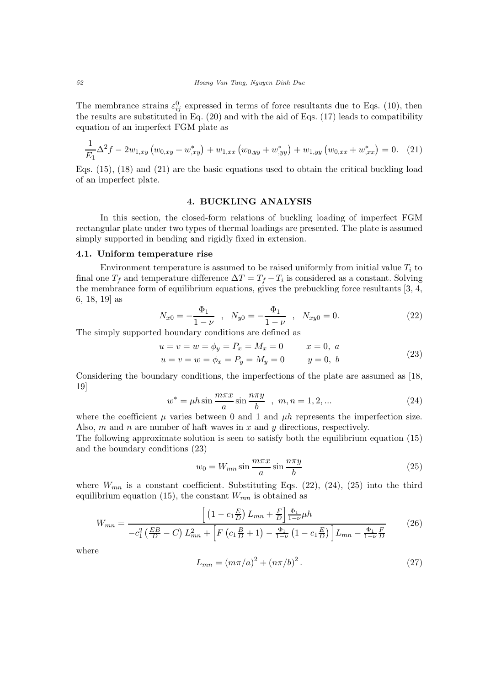The membrance strains  $\varepsilon_{ij}^0$  expressed in terms of force resultants due to Eqs. (10), then the results are substituted in Eq. (20) and with the aid of Eqs. (17) leads to compatibility equation of an imperfect FGM plate as

$$
\frac{1}{E_1} \Delta^2 f - 2w_{1,xy} \left( w_{0,xy} + w_{,xy}^* \right) + w_{1,xx} \left( w_{0,yy} + w_{,yy}^* \right) + w_{1,yy} \left( w_{0,xx} + w_{,xx}^* \right) = 0. \tag{21}
$$

Eqs. (15), (18) and (21) are the basic equations used to obtain the critical buckling load of an imperfect plate.

# 4. BUCKLING ANALYSIS

In this section, the closed-form relations of buckling loading of imperfect FGM rectangular plate under two types of thermal loadings are presented. The plate is assumed simply supported in bending and rigidly fixed in extension.

## 4.1. Uniform temperature rise

Environment temperature is assumed to be raised uniformly from initial value  $T_i$  to final one  $T_f$  and temperature difference  $\Delta T = T_f - T_i$  is considered as a constant. Solving the membrance form of equilibrium equations, gives the prebuckling force resultants [3, 4, 6, 18, 19] as

$$
N_{x0} = -\frac{\Phi_1}{1-\nu} \quad , \quad N_{y0} = -\frac{\Phi_1}{1-\nu} \quad , \quad N_{xy0} = 0. \tag{22}
$$

The simply supported boundary conditions are defined as

$$
u = v = w = \phi_y = P_x = M_x = 0 \qquad x = 0, a
$$
  

$$
u = v = w = \phi_x = P_y = M_y = 0 \qquad y = 0, b
$$
 (23)

Considering the boundary conditions, the imperfections of the plate are assumed as [18, 19]

$$
w^* = \mu h \sin \frac{m\pi x}{a} \sin \frac{n\pi y}{b} , \ m, n = 1, 2, ... \tag{24}
$$

where the coefficient  $\mu$  varies between 0 and 1 and  $\mu h$  represents the imperfection size. Also, m and n are number of haft waves in x and y directions, respectively.

The following approximate solution is seen to satisfy both the equilibrium equation (15) and the boundary conditions (23)

$$
w_0 = W_{mn} \sin \frac{m\pi x}{a} \sin \frac{n\pi y}{b}
$$
 (25)

where  $W_{mn}$  is a constant coefficient. Substituting Eqs. (22), (24), (25) into the third equilibrium equation (15), the constant  $W_{mn}$  is obtained as

$$
W_{mn} = \frac{\left[ \left( 1 - c_1 \frac{E}{D} \right) L_{mn} + \frac{F}{D} \right] \frac{\Phi_1}{1 - \nu} \mu h}{-c_1^2 \left( \frac{EB}{D} - C \right) L_{mn}^2 + \left[ F \left( c_1 \frac{B}{D} + 1 \right) - \frac{\Phi_1}{1 - \nu} \left( 1 - c_1 \frac{E}{D} \right) \right] L_{mn} - \frac{\Phi_1}{1 - \nu} \frac{F}{D}}
$$
(26)

where

$$
L_{mn} = (m\pi/a)^2 + (n\pi/b)^2.
$$
 (27)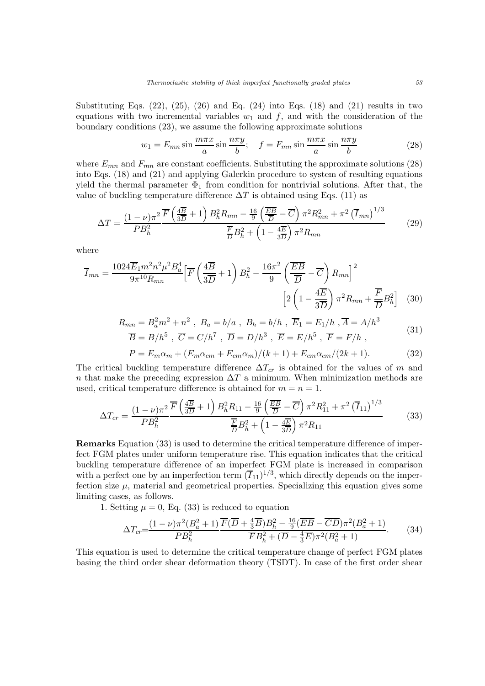Substituting Eqs.  $(22)$ ,  $(25)$ ,  $(26)$  and Eq.  $(24)$  into Eqs.  $(18)$  and  $(21)$  results in two equations with two incremental variables  $w_1$  and  $f$ , and with the consideration of the boundary conditions (23), we assume the following approximate solutions

$$
w_1 = E_{mn} \sin \frac{m\pi x}{a} \sin \frac{n\pi y}{b}; \quad f = F_{mn} \sin \frac{m\pi x}{a} \sin \frac{n\pi y}{b}
$$
(28)

where  $E_{mn}$  and  $F_{mn}$  are constant coefficients. Substituting the approximate solutions (28) into Eqs. (18) and (21) and applying Galerkin procedure to system of resulting equations yield the thermal parameter  $\Phi_1$  from condition for nontrivial solutions. After that, the value of buckling temperature difference  $\Delta T$  is obtained using Eqs. (11) as

$$
\Delta T = \frac{(1-\nu)\pi^2}{PB_h^2} \frac{\overline{F}\left(\frac{4\overline{B}}{3\overline{D}}+1\right)B_h^2 R_{mn} - \frac{16}{9}\left(\frac{\overline{EB}}{\overline{D}}-\overline{C}\right)\pi^2 R_{mn}^2 + \pi^2 \left(\overline{I}_{mn}\right)^{1/3}}{\frac{\overline{F}}{D}B_h^2 + \left(1 - \frac{4\overline{E}}{3\overline{D}}\right)\pi^2 R_{mn}}\tag{29}
$$

where

$$
\overline{I}_{mn} = \frac{1024\overline{E}_1 m^2 n^2 \mu^2 B_a^4}{9\pi^{10} R_{mn}} \left[ \overline{F} \left( \frac{4\overline{B}}{3\overline{D}} + 1 \right) B_h^2 - \frac{16\pi^2}{9} \left( \frac{\overline{E}\overline{B}}{\overline{D}} - \overline{C} \right) R_{mn} \right]^2 \left[ 2 \left( 1 - \frac{4\overline{E}}{3\overline{D}} \right) \pi^2 R_{mn} + \frac{\overline{F}}{\overline{D}} B_h^2 \right] \tag{30}
$$

$$
R_{mn} = B_a^2 m^2 + n^2 , B_a = b/a , B_h = b/h , \overline{E}_1 = E_1/h , \overline{A} = A/h^3
$$
  
\n
$$
\overline{B} = B/h^5 , \overline{C} = C/h^7 , \overline{D} = D/h^3 , \overline{E} = E/h^5 , \overline{F} = F/h ,
$$
\n(31)

$$
P = E_m \alpha_m + (E_m \alpha_{cm} + E_{cm} \alpha_m) / (k+1) + E_{cm} \alpha_{cm} / (2k+1).
$$
 (32)

The critical buckling temperature difference  $\Delta T_{cr}$  is obtained for the values of m and n that make the preceding expression  $\Delta T$  a minimum. When minimization methods are used, critical temperature difference is obtained for  $m = n = 1$ .

$$
\Delta T_{cr} = \frac{(1 - \nu)\pi^2}{PB_h^2} \frac{\overline{F}\left(\frac{4\overline{B}}{3\overline{D}} + 1\right)B_h^2 R_{11} - \frac{16}{9}\left(\frac{\overline{EB}}{\overline{D}} - \overline{C}\right)\pi^2 R_{11}^2 + \pi^2 \left(\overline{I}_{11}\right)^{1/3}}{\frac{\overline{F}}{\overline{D}}B_h^2 + \left(1 - \frac{4\overline{E}}{3\overline{D}}\right)\pi^2 R_{11}}\tag{33}
$$

Remarks Equation (33) is used to determine the critical temperature difference of imperfect FGM plates under uniform temperature rise. This equation indicates that the critical buckling temperature difference of an imperfect FGM plate is increased in comparison with a perfect one by an imperfection term  $(\overline{I}_{11})^{1/3}$ , which directly depends on the imperfection size  $\mu$ , material and geometrical properties. Specializing this equation gives some limiting cases, as follows.

1. Setting  $\mu = 0$ , Eq. (33) is reduced to equation

$$
\Delta T_{cr} = \frac{(1-\nu)\pi^2 (B_a^2+1)}{PB_h^2} \frac{\overline{F}(\overline{D} + \frac{4}{3}\overline{B})B_h^2 - \frac{16}{9}(\overline{EB} - \overline{CD})\pi^2 (B_a^2+1)}{\overline{F}B_h^2 + (\overline{D} - \frac{4}{3}\overline{E})\pi^2 (B_a^2+1)}.
$$
(34)

This equation is used to determine the critical temperature change of perfect FGM plates basing the third order shear deformation theory (TSDT). In case of the first order shear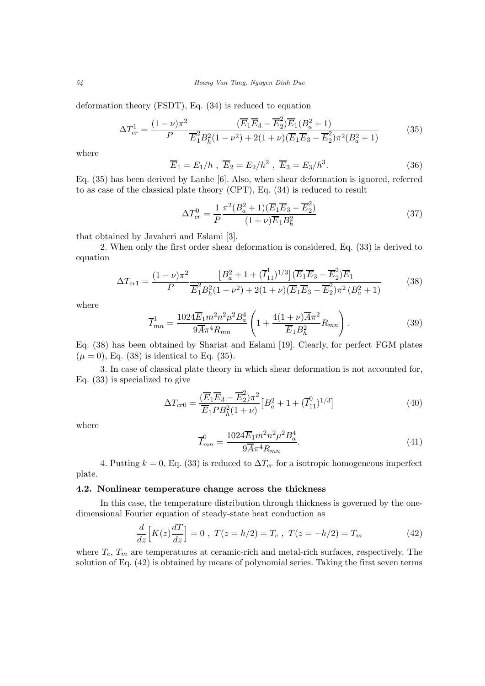54 Hoang Van Tung, Nguyen Dinh Duc

deformation theory (FSDT), Eq. (34) is reduced to equation

$$
\Delta T_{cr}^1 = \frac{(1-\nu)\pi^2}{P} \frac{(\overline{E}_1 \overline{E}_3 - \overline{E}_2^2)\overline{E}_1(B_a^2 + 1)}{\overline{E}_1^2 B_h^2 (1 - \nu^2) + 2(1 + \nu)(\overline{E}_1 \overline{E}_3 - \overline{E}_2^2)\pi^2(B_a^2 + 1)}
$$
(35)

where

$$
\overline{E}_1 = E_1/h
$$
,  $\overline{E}_2 = E_2/h^2$ ,  $\overline{E}_3 = E_3/h^3$ . (36)

Eq. (35) has been derived by Lanhe [6]. Also, when shear deformation is ignored, referred to as case of the classical plate theory (CPT), Eq. (34) is reduced to result

$$
\Delta T_{cr}^0 = \frac{1}{P} \frac{\pi^2 (B_a^2 + 1)(\overline{E}_1 \overline{E}_3 - \overline{E}_2^2)}{(1 + \nu)\overline{E}_1 B_h^2}
$$
(37)

that obtained by Javaheri and Eslami [3].

2. When only the first order shear deformation is considered, Eq. (33) is derived to equation

$$
\Delta T_{cr1} = \frac{(1-\nu)\pi^2}{P} \frac{\left[B_a^2 + 1 + (\overline{I}_{11}^1)^{1/3}\right] (\overline{E}_1 \overline{E}_3 - \overline{E}_2^2) \overline{E}_1}{\overline{E}_1^2 B_h^2 (1-\nu^2) + 2(1+\nu)(\overline{E}_1 \overline{E}_3 - \overline{E}_2^2) \pi^2 (B_a^2 + 1)}
$$
(38)

where

$$
\overline{I}_{mn}^1 = \frac{1024\overline{E}_1 m^2 n^2 \mu^2 B_a^4}{9\overline{A} \pi^4 R_{mn}} \left( 1 + \frac{4(1+\nu)\overline{A} \pi^2}{\overline{E}_1 B_h^2} R_{mn} \right). \tag{39}
$$

Eq. (38) has been obtained by Shariat and Eslami [19]. Clearly, for perfect FGM plates  $(\mu = 0)$ , Eq. (38) is identical to Eq. (35).

3. In case of classical plate theory in which shear deformation is not accounted for, Eq. (33) is specialized to give

$$
\Delta T_{cr0} = \frac{(\overline{E}_1 \overline{E}_3 - \overline{E}_2^2) \pi^2}{\overline{E}_1 P B_h^2 (1 + \nu)} \left[ B_a^2 + 1 + (\overline{I}_{11}^0)^{1/3} \right]
$$
(40)

where

$$
\overline{I}_{mn}^{0} = \frac{1024 \overline{E}_1 m^2 n^2 \mu^2 B_a^4}{9 \overline{A} \pi^4 R_{mn}}.
$$
\n(41)

4. Putting  $k = 0$ , Eq. (33) is reduced to  $\Delta T_{cr}$  for a isotropic homogeneous imperfect plate.

#### 4.2. Nonlinear temperature change across the thickness

In this case, the temperature distribution through thickness is governed by the onedimensional Fourier equation of steady-state heat conduction as

$$
\frac{d}{dz}\Big[K(z)\frac{dT}{dz}\Big] = 0 \ , \ T(z = h/2) = T_c \ , \ T(z = -h/2) = T_m \tag{42}
$$

where  $T_c$ ,  $T_m$  are temperatures at ceramic-rich and metal-rich surfaces, respectively. The solution of Eq. (42) is obtained by means of polynomial series. Taking the first seven terms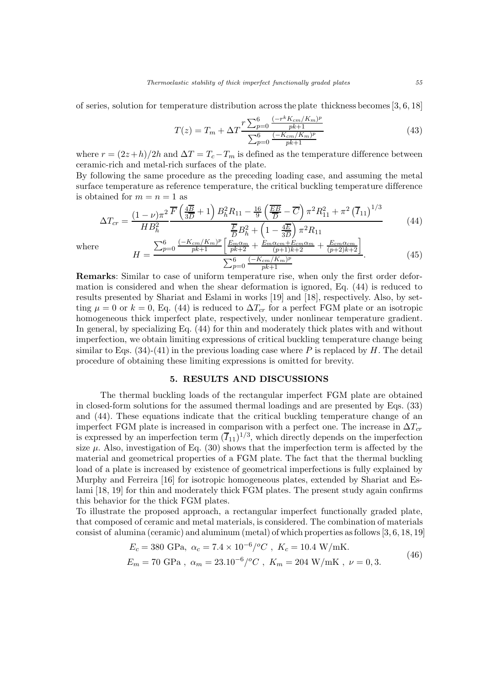of series, solution for temperature distribution across the plate thickness becomes [3, 6, 18]

$$
T(z) = T_m + \Delta T \frac{r \sum_{p=0}^{6} \frac{(-r^k K_{cm}/K_m)^p}{pk+1}}{\sum_{p=0}^{6} \frac{(-K_{cm}/K_m)^p}{pk+1}}
$$
(43)

where  $r = (2z+h)/2h$  and  $\Delta T = T_c - T_m$  is defined as the temperature difference between ceramic-rich and metal-rich surfaces of the plate.

By following the same procedure as the preceding loading case, and assuming the metal surface temperature as reference temperature, the critical buckling temperature difference is obtained for  $m = n = 1$  as

$$
\Delta T_{cr} = \frac{(1-\nu)\pi^2}{HB_h^2} \frac{\overline{F}\left(\frac{4\overline{B}}{3\overline{D}}+1\right)B_h^2R_{11} - \frac{16}{9}\left(\frac{\overline{EB}}{\overline{D}}-\overline{C}\right)\pi^2R_{11}^2 + \pi^2\left(\overline{I}_{11}\right)^{1/3}}{\frac{\overline{F}}{\overline{D}}B_h^2 + \left(1 - \frac{4\overline{E}}{3\overline{D}}\right)\pi^2R_{11}}\tag{44}
$$

where

$$
H = \frac{\sum_{p=0}^{6} \frac{(-K_{cm}/K_m)^p}{pk+1} \left[ \frac{E_m \alpha_m}{pk+2} + \frac{E_m \alpha_{cm} + E_{cm} \alpha_m}{(p+1)k+2} + \frac{E_{cm} \alpha_{cm}}{(p+2)k+2} \right]}{\sum_{p=0}^{6} \frac{(-K_{cm}/K_m)^p}{pk+1}}.
$$
(45)

Remarks: Similar to case of uniform temperature rise, when only the first order deformation is considered and when the shear deformation is ignored, Eq. (44) is reduced to results presented by Shariat and Eslami in works [19] and [18], respectively. Also, by setting  $\mu = 0$  or  $k = 0$ , Eq. (44) is reduced to  $\Delta T_{cr}$  for a perfect FGM plate or an isotropic homogeneous thick imperfect plate, respectively, under nonlinear temperature gradient. In general, by specializing Eq. (44) for thin and moderately thick plates with and without imperfection, we obtain limiting expressions of critical buckling temperature change being similar to Eqs.  $(34)-(41)$  in the previous loading case where P is replaced by H. The detail procedure of obtaining these limiting expressions is omitted for brevity.

# 5. RESULTS AND DISCUSSIONS

The thermal buckling loads of the rectangular imperfect FGM plate are obtained in closed-form solutions for the assumed thermal loadings and are presented by Eqs. (33) and (44). These equations indicate that the critical buckling temperature change of an imperfect FGM plate is increased in comparison with a perfect one. The increase in  $\Delta T_{cr}$ is expressed by an imperfection term  $(\overline{I}_{11})^{1/3}$ , which directly depends on the imperfection size  $\mu$ . Also, investigation of Eq. (30) shows that the imperfection term is affected by the material and geometrical properties of a FGM plate. The fact that the thermal buckling load of a plate is increased by existence of geometrical imperfections is fully explained by Murphy and Ferreira [16] for isotropic homogeneous plates, extended by Shariat and Eslami [18, 19] for thin and moderately thick FGM plates. The present study again confirms this behavior for the thick FGM plates.

To illustrate the proposed approach, a rectangular imperfect functionally graded plate, that composed of ceramic and metal materials, is considered. The combination of materials consist of alumina (ceramic) and aluminum (metal) of which properties as follows [3, 6, 18, 19]

$$
E_c = 380 \text{ GPa}, \ \alpha_c = 7.4 \times 10^{-6} / ^oC, \ K_c = 10.4 \text{ W/mK}.
$$
  

$$
E_m = 70 \text{ GPa}, \ \alpha_m = 23.10^{-6} / ^oC, \ K_m = 204 \text{ W/mK}, \ \nu = 0, 3.
$$
 (46)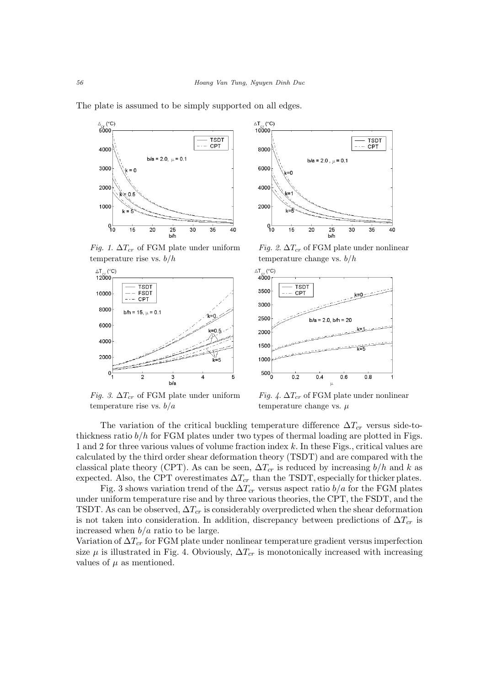

The plate is assumed to be simply supported on all edges.

Fig. 1.  $\Delta T_{cr}$  of FGM plate under uniform temperature rise vs.  $b/h$ 



Fig. 3.  $\Delta T_{cr}$  of FGM plate under uniform temperature rise vs.  $b/a$ 



Fig. 2.  $\Delta T_{cr}$  of FGM plate under nonlinear temperature change vs.  $b/h$ 



Fig. 4.  $\Delta T_{cr}$  of FGM plate under nonlinear temperature change vs.  $\mu$ 

The variation of the critical buckling temperature difference  $\Delta T_{cr}$  versus side-tothickness ratio  $b/h$  for FGM plates under two types of thermal loading are plotted in Figs. 1 and 2 for three various values of volume fraction index k. In these Figs., critical values are calculated by the third order shear deformation theory (TSDT) and are compared with the classical plate theory (CPT). As can be seen,  $\Delta T_{cr}$  is reduced by increasing  $b/h$  and k as expected. Also, the CPT overestimates  $\Delta T_{cr}$  than the TSDT, especially for thicker plates.

Fig. 3 shows variation trend of the  $\Delta T_{cr}$  versus aspect ratio  $b/a$  for the FGM plates under uniform temperature rise and by three various theories, the CPT, the FSDT, and the TSDT. As can be observed,  $\Delta T_{cr}$  is considerably overpredicted when the shear deformation is not taken into consideration. In addition, discrepancy between predictions of  $\Delta T_{cr}$  is increased when  $b/a$  ratio to be large.

Variation of  $\Delta T_{cr}$  for FGM plate under nonlinear temperature gradient versus imperfection size  $\mu$  is illustrated in Fig. 4. Obviously,  $\Delta T_{cr}$  is monotonically increased with increasing values of  $\mu$  as mentioned.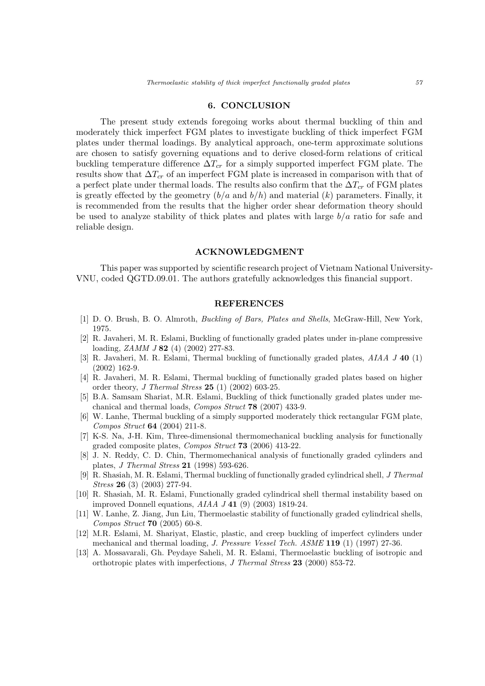# 6. CONCLUSION

The present study extends foregoing works about thermal buckling of thin and moderately thick imperfect FGM plates to investigate buckling of thick imperfect FGM plates under thermal loadings. By analytical approach, one-term approximate solutions are chosen to satisfy governing equations and to derive closed-form relations of critical buckling temperature difference  $\Delta T_{cr}$  for a simply supported imperfect FGM plate. The results show that  $\Delta T_{cr}$  of an imperfect FGM plate is increased in comparison with that of a perfect plate under thermal loads. The results also confirm that the  $\Delta T_{cr}$  of FGM plates is greatly effected by the geometry  $(b/a \text{ and } b/h)$  and material  $(k)$  parameters. Finally, it is recommended from the results that the higher order shear deformation theory should be used to analyze stability of thick plates and plates with large  $b/a$  ratio for safe and reliable design.

### ACKNOWLEDGMENT

This paper was supported by scientific research project of Vietnam National University-VNU, coded QGTD.09.01. The authors gratefully acknowledges this financial support.

#### REFERENCES

- [1] D. O. Brush, B. O. Almroth, Buckling of Bars, Plates and Shells, McGraw-Hill, New York, 1975.
- [2] R. Javaheri, M. R. Eslami, Buckling of functionally graded plates under in-plane compressive loading, *ZAMM J* 82 (4) (2002) 277-83.
- [3] R. Javaheri, M. R. Eslami, Thermal buckling of functionally graded plates, AIAA J 40 (1) (2002) 162-9.
- [4] R. Javaheri, M. R. Eslami, Thermal buckling of functionally graded plates based on higher order theory, J Thermal Stress  $25(1)(2002)$  603-25.
- [5] B.A. Samsam Shariat, M.R. Eslami, Buckling of thick functionally graded plates under mechanical and thermal loads, Compos Struct 78 (2007) 433-9.
- [6] W. Lanhe, Thermal buckling of a simply supported moderately thick rectangular FGM plate, Compos Struct 64 (2004) 211-8.
- [7] K-S. Na, J-H. Kim, Three-dimensional thermomechanical buckling analysis for functionally graded composite plates, Compos Struct 73 (2006) 413-22.
- [8] J. N. Reddy, C. D. Chin, Thermomechanical analysis of functionally graded cylinders and plates, J Thermal Stress 21 (1998) 593-626.
- [9] R. Shasiah, M. R. Eslami, Thermal buckling of functionally graded cylindrical shell, J Thermal Stress 26 (3) (2003) 277-94.
- [10] R. Shasiah, M. R. Eslami, Functionally graded cylindrical shell thermal instability based on improved Donnell equations,  $AIAA$   $J$  41 (9) (2003) 1819-24.
- [11] W. Lanhe, Z. Jiang, Jun Liu, Thermoelastic stability of functionally graded cylindrical shells, Compos Struct 70 (2005) 60-8.
- [12] M.R. Eslami, M. Shariyat, Elastic, plastic, and creep buckling of imperfect cylinders under mechanical and thermal loading, J. Pressure Vessel Tech. ASME 119 (1) (1997) 27-36.
- [13] A. Mossavarali, Gh. Peydaye Saheli, M. R. Eslami, Thermoelastic buckling of isotropic and orthotropic plates with imperfections, J Thermal Stress 23 (2000) 853-72.